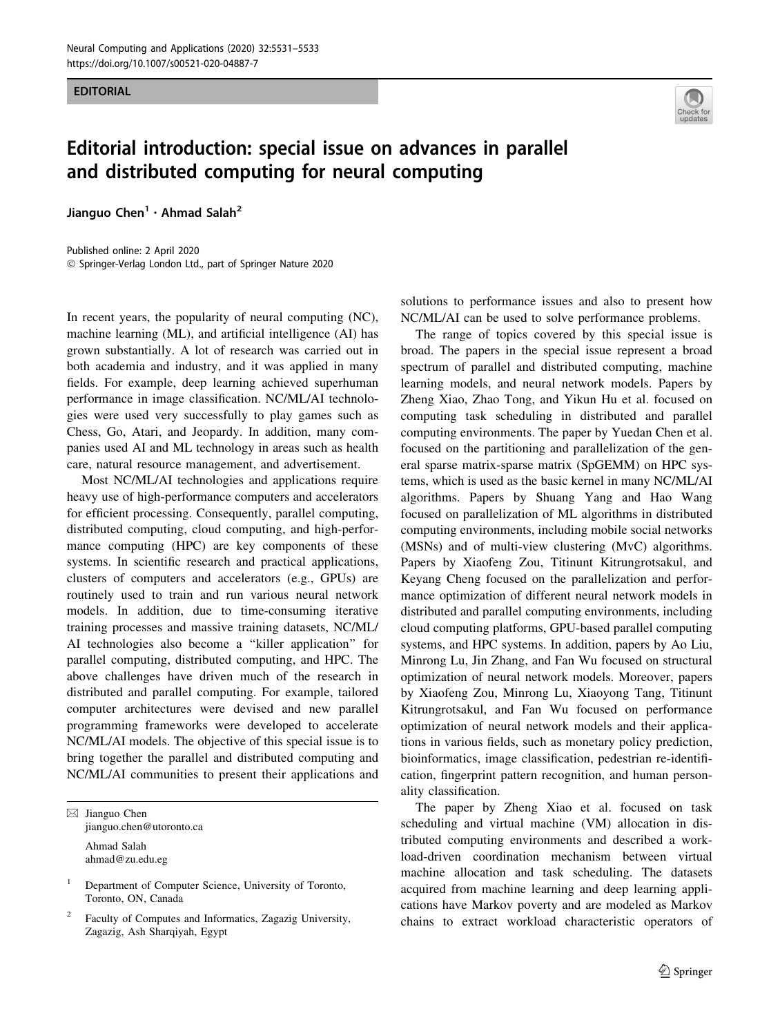## EDITORIAL



## Editorial introduction: special issue on advances in parallel and distributed computing for neural computing

Jianguo Chen<sup>1</sup> · Ahmad Salah<sup>2</sup>

Published online: 2 April 2020 - Springer-Verlag London Ltd., part of Springer Nature 2020

In recent years, the popularity of neural computing (NC), machine learning (ML), and artificial intelligence (AI) has grown substantially. A lot of research was carried out in both academia and industry, and it was applied in many fields. For example, deep learning achieved superhuman performance in image classification. NC/ML/AI technologies were used very successfully to play games such as Chess, Go, Atari, and Jeopardy. In addition, many companies used AI and ML technology in areas such as health care, natural resource management, and advertisement.

Most NC/ML/AI technologies and applications require heavy use of high-performance computers and accelerators for efficient processing. Consequently, parallel computing, distributed computing, cloud computing, and high-performance computing (HPC) are key components of these systems. In scientific research and practical applications, clusters of computers and accelerators (e.g., GPUs) are routinely used to train and run various neural network models. In addition, due to time-consuming iterative training processes and massive training datasets, NC/ML/ AI technologies also become a ''killer application'' for parallel computing, distributed computing, and HPC. The above challenges have driven much of the research in distributed and parallel computing. For example, tailored computer architectures were devised and new parallel programming frameworks were developed to accelerate NC/ML/AI models. The objective of this special issue is to bring together the parallel and distributed computing and NC/ML/AI communities to present their applications and

 $\boxtimes$  Jianguo Chen jianguo.chen@utoronto.ca Ahmad Salah ahmad@zu.edu.eg

Department of Computer Science, University of Toronto, Toronto, ON, Canada

<sup>2</sup> Faculty of Computes and Informatics, Zagazig University, Zagazig, Ash Sharqiyah, Egypt

solutions to performance issues and also to present how NC/ML/AI can be used to solve performance problems.

The range of topics covered by this special issue is broad. The papers in the special issue represent a broad spectrum of parallel and distributed computing, machine learning models, and neural network models. Papers by Zheng Xiao, Zhao Tong, and Yikun Hu et al. focused on computing task scheduling in distributed and parallel computing environments. The paper by Yuedan Chen et al. focused on the partitioning and parallelization of the general sparse matrix-sparse matrix (SpGEMM) on HPC systems, which is used as the basic kernel in many NC/ML/AI algorithms. Papers by Shuang Yang and Hao Wang focused on parallelization of ML algorithms in distributed computing environments, including mobile social networks (MSNs) and of multi-view clustering (MvC) algorithms. Papers by Xiaofeng Zou, Titinunt Kitrungrotsakul, and Keyang Cheng focused on the parallelization and performance optimization of different neural network models in distributed and parallel computing environments, including cloud computing platforms, GPU-based parallel computing systems, and HPC systems. In addition, papers by Ao Liu, Minrong Lu, Jin Zhang, and Fan Wu focused on structural optimization of neural network models. Moreover, papers by Xiaofeng Zou, Minrong Lu, Xiaoyong Tang, Titinunt Kitrungrotsakul, and Fan Wu focused on performance optimization of neural network models and their applications in various fields, such as monetary policy prediction, bioinformatics, image classification, pedestrian re-identification, fingerprint pattern recognition, and human personality classification.

The paper by Zheng Xiao et al. focused on task scheduling and virtual machine (VM) allocation in distributed computing environments and described a workload-driven coordination mechanism between virtual machine allocation and task scheduling. The datasets acquired from machine learning and deep learning applications have Markov poverty and are modeled as Markov chains to extract workload characteristic operators of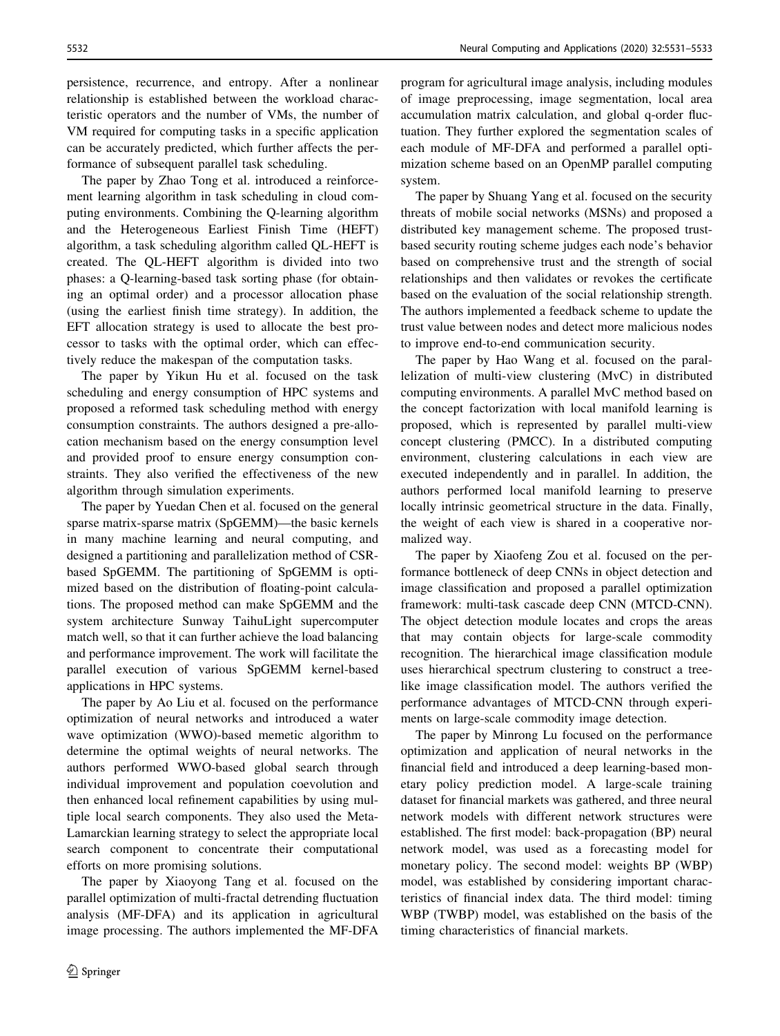The paper by Zhao Tong et al. introduced a reinforcement learning algorithm in task scheduling in cloud computing environments. Combining the Q-learning algorithm and the Heterogeneous Earliest Finish Time (HEFT) algorithm, a task scheduling algorithm called QL-HEFT is created. The QL-HEFT algorithm is divided into two phases: a Q-learning-based task sorting phase (for obtaining an optimal order) and a processor allocation phase (using the earliest finish time strategy). In addition, the EFT allocation strategy is used to allocate the best processor to tasks with the optimal order, which can effectively reduce the makespan of the computation tasks.

The paper by Yikun Hu et al. focused on the task scheduling and energy consumption of HPC systems and proposed a reformed task scheduling method with energy consumption constraints. The authors designed a pre-allocation mechanism based on the energy consumption level and provided proof to ensure energy consumption constraints. They also verified the effectiveness of the new algorithm through simulation experiments.

The paper by Yuedan Chen et al. focused on the general sparse matrix-sparse matrix (SpGEMM)—the basic kernels in many machine learning and neural computing, and designed a partitioning and parallelization method of CSRbased SpGEMM. The partitioning of SpGEMM is optimized based on the distribution of floating-point calculations. The proposed method can make SpGEMM and the system architecture Sunway TaihuLight supercomputer match well, so that it can further achieve the load balancing and performance improvement. The work will facilitate the parallel execution of various SpGEMM kernel-based applications in HPC systems.

The paper by Ao Liu et al. focused on the performance optimization of neural networks and introduced a water wave optimization (WWO)-based memetic algorithm to determine the optimal weights of neural networks. The authors performed WWO-based global search through individual improvement and population coevolution and then enhanced local refinement capabilities by using multiple local search components. They also used the Meta-Lamarckian learning strategy to select the appropriate local search component to concentrate their computational efforts on more promising solutions.

The paper by Xiaoyong Tang et al. focused on the parallel optimization of multi-fractal detrending fluctuation analysis (MF-DFA) and its application in agricultural image processing. The authors implemented the MF-DFA

program for agricultural image analysis, including modules of image preprocessing, image segmentation, local area accumulation matrix calculation, and global q-order fluctuation. They further explored the segmentation scales of each module of MF-DFA and performed a parallel optimization scheme based on an OpenMP parallel computing system.

The paper by Shuang Yang et al. focused on the security threats of mobile social networks (MSNs) and proposed a distributed key management scheme. The proposed trustbased security routing scheme judges each node's behavior based on comprehensive trust and the strength of social relationships and then validates or revokes the certificate based on the evaluation of the social relationship strength. The authors implemented a feedback scheme to update the trust value between nodes and detect more malicious nodes to improve end-to-end communication security.

The paper by Hao Wang et al. focused on the parallelization of multi-view clustering (MvC) in distributed computing environments. A parallel MvC method based on the concept factorization with local manifold learning is proposed, which is represented by parallel multi-view concept clustering (PMCC). In a distributed computing environment, clustering calculations in each view are executed independently and in parallel. In addition, the authors performed local manifold learning to preserve locally intrinsic geometrical structure in the data. Finally, the weight of each view is shared in a cooperative normalized way.

The paper by Xiaofeng Zou et al. focused on the performance bottleneck of deep CNNs in object detection and image classification and proposed a parallel optimization framework: multi-task cascade deep CNN (MTCD-CNN). The object detection module locates and crops the areas that may contain objects for large-scale commodity recognition. The hierarchical image classification module uses hierarchical spectrum clustering to construct a treelike image classification model. The authors verified the performance advantages of MTCD-CNN through experiments on large-scale commodity image detection.

The paper by Minrong Lu focused on the performance optimization and application of neural networks in the financial field and introduced a deep learning-based monetary policy prediction model. A large-scale training dataset for financial markets was gathered, and three neural network models with different network structures were established. The first model: back-propagation (BP) neural network model, was used as a forecasting model for monetary policy. The second model: weights BP (WBP) model, was established by considering important characteristics of financial index data. The third model: timing WBP (TWBP) model, was established on the basis of the timing characteristics of financial markets.